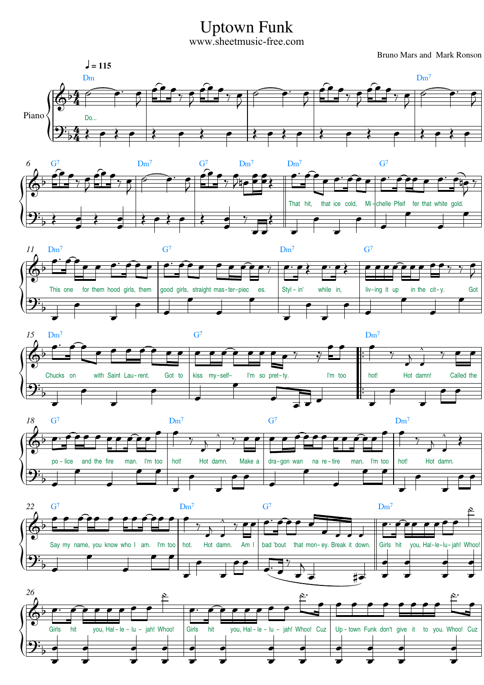## Uptown Funk

www.sheetmusic-free.com

 $\mathbf{Dm}^2$  and  $\mathbf{Dm}^2$   $\bar{\bar{z}}$  $\hat{r}$  $\frac{1}{\sqrt{2}}$  $\overline{\mathbf{R}}$  $\bar{\bar{z}}$  $f$  $\frac{1}{\sqrt{2}}$ ₹  $\circ$   $\bullet$   $\bullet$ ₹  $f$  $\frac{1}{\sqrt{2}}$  $\overline{\mathbf{R}}$  $\bar{\bar{z}}$  $f$  $\overline{76}$ ₹  $\bar{\bar{z}}$ 



Piano  $\bigcap$  Do.

 $\overline{\mathbb{Q}^{\flat}}$ 

 $\frac{1}{4}$  $\frac{4}{4}$   $\sqrt{ } = 115$ 











Bruno Mars and Mark Ronson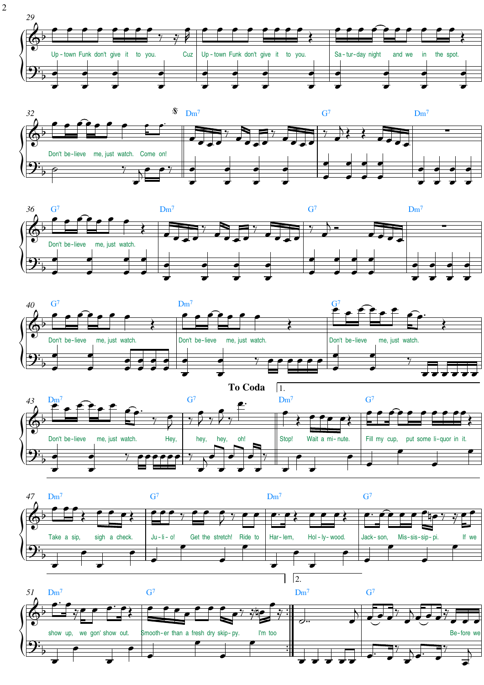